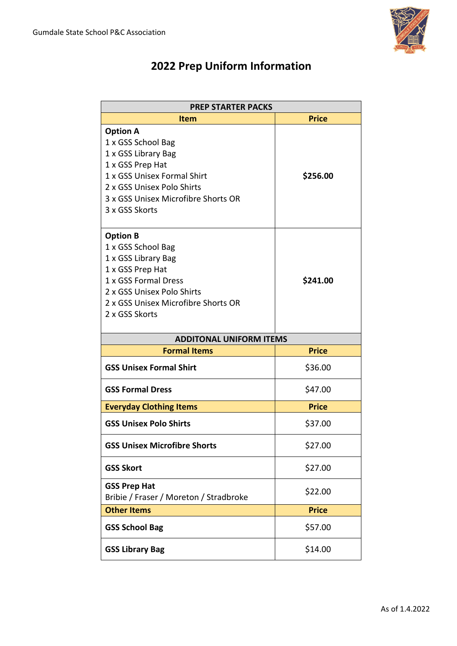

# **2022 Prep Uniform Information**

| <b>PREP STARTER PACKS</b>                                     |              |  |
|---------------------------------------------------------------|--------------|--|
| <b>Item</b>                                                   | <b>Price</b> |  |
| <b>Option A</b><br>1 x GSS School Bag                         |              |  |
| 1 x GSS Library Bag<br>1 x GSS Prep Hat                       |              |  |
| 1 x GSS Unisex Formal Shirt                                   | \$256.00     |  |
| 2 x GSS Unisex Polo Shirts                                    |              |  |
| 3 x GSS Unisex Microfibre Shorts OR                           |              |  |
| 3 x GSS Skorts                                                |              |  |
| <b>Option B</b>                                               |              |  |
| 1 x GSS School Bag                                            |              |  |
| 1 x GSS Library Bag                                           |              |  |
| 1 x GSS Prep Hat<br>1 x GSS Formal Dress                      |              |  |
| 2 x GSS Unisex Polo Shirts                                    | \$241.00     |  |
| 2 x GSS Unisex Microfibre Shorts OR                           |              |  |
| 2 x GSS Skorts                                                |              |  |
|                                                               |              |  |
| <b>ADDITONAL UNIFORM ITEMS</b>                                |              |  |
| <b>Formal Items</b>                                           | <b>Price</b> |  |
| <b>GSS Unisex Formal Shirt</b>                                | \$36.00      |  |
| <b>GSS Formal Dress</b>                                       | \$47.00      |  |
| <b>Everyday Clothing Items</b>                                | <b>Price</b> |  |
| <b>GSS Unisex Polo Shirts</b>                                 | \$37.00      |  |
| <b>GSS Unisex Microfibre Shorts</b>                           | \$27.00      |  |
| <b>GSS Skort</b>                                              | \$27.00      |  |
| <b>GSS Prep Hat</b><br>Bribie / Fraser / Moreton / Stradbroke | \$22.00      |  |
| <b>Other Items</b>                                            | <b>Price</b> |  |
| <b>GSS School Bag</b>                                         | \$57.00      |  |
| <b>GSS Library Bag</b>                                        | \$14.00      |  |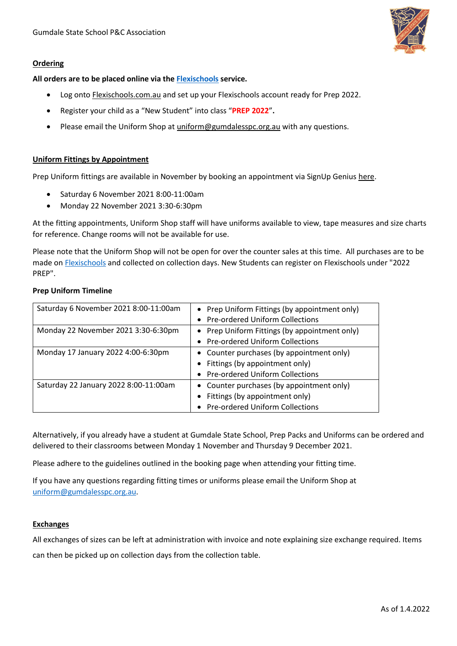### **Ordering**

**All orders are to be placed online via the [Flexischools](http://www.flexischools.com.au/) service.** 

- Log onto **Flexischools.com.au** and set up your Flexischools account ready for Prep 2022.
- Register your child as a "New Student" into class "**PREP 2022**"**.**
- Please email the Uniform Shop at [uniform@gumdalesspc.org.au](mailto:uniform@gumdalesspc.org.au) with any questions.

#### **Uniform Fittings by Appointment**

Prep Uniform fittings are available in November by booking an appointment via SignUp Genius [here.](https://www.signupgenius.com/go/60b0d4eaba629a7ff2-2022)

- Saturday 6 November 2021 8:00-11:00am
- Monday 22 November 2021 3:30-6:30pm

At the fitting appointments, Uniform Shop staff will have uniforms available to view, tape measures and size charts for reference. Change rooms will not be available for use.

Please note that the Uniform Shop will not be open for over the counter sales at this time. All purchases are to be made o[n Flexischools](https://user.flexischools.com.au/) and collected on collection days. New Students can register on Flexischools under "2022 PREP".

#### **Prep Uniform Timeline**

| Saturday 6 November 2021 8:00-11:00am | • Prep Uniform Fittings (by appointment only) |
|---------------------------------------|-----------------------------------------------|
|                                       | • Pre-ordered Uniform Collections             |
| Monday 22 November 2021 3:30-6:30pm   | • Prep Uniform Fittings (by appointment only) |
|                                       | • Pre-ordered Uniform Collections             |
| Monday 17 January 2022 4:00-6:30pm    | • Counter purchases (by appointment only)     |
|                                       | • Fittings (by appointment only)              |
|                                       | • Pre-ordered Uniform Collections             |
| Saturday 22 January 2022 8:00-11:00am | • Counter purchases (by appointment only)     |
|                                       | Fittings (by appointment only)                |
|                                       | • Pre-ordered Uniform Collections             |

Alternatively, if you already have a student at Gumdale State School, Prep Packs and Uniforms can be ordered and delivered to their classrooms between Monday 1 November and Thursday 9 December 2021.

Please adhere to the guidelines outlined in the booking page when attending your fitting time.

If you have any questions regarding fitting times or uniforms please email the Uniform Shop at [uniform@gumdalesspc.org.au.](mailto:uniform@gumdalesspc.org.au)

#### **Exchanges**

All exchanges of sizes can be left at administration with invoice and note explaining size exchange required. Items can then be picked up on collection days from the collection table.